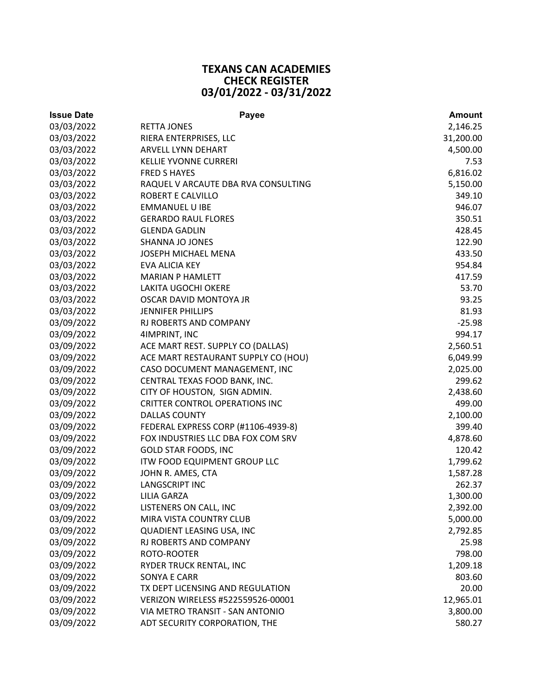## **TEXANS CAN ACADEMIES CHECK REGISTER 03/01/2022 ‐ 03/31/2022**

| <b>Issue Date</b> | Payee                                 | <b>Amount</b> |
|-------------------|---------------------------------------|---------------|
| 03/03/2022        | <b>RETTA JONES</b>                    | 2,146.25      |
| 03/03/2022        | RIERA ENTERPRISES, LLC                | 31,200.00     |
| 03/03/2022        | ARVELL LYNN DEHART                    | 4,500.00      |
| 03/03/2022        | <b>KELLIE YVONNE CURRERI</b>          | 7.53          |
| 03/03/2022        | <b>FRED S HAYES</b>                   | 6,816.02      |
| 03/03/2022        | RAQUEL V ARCAUTE DBA RVA CONSULTING   | 5,150.00      |
| 03/03/2022        | ROBERT E CALVILLO                     | 349.10        |
| 03/03/2022        | <b>EMMANUEL U IBE</b>                 | 946.07        |
| 03/03/2022        | <b>GERARDO RAUL FLORES</b>            | 350.51        |
| 03/03/2022        | <b>GLENDA GADLIN</b>                  | 428.45        |
| 03/03/2022        | SHANNA JO JONES                       | 122.90        |
| 03/03/2022        | JOSEPH MICHAEL MENA                   | 433.50        |
| 03/03/2022        | <b>EVA ALICIA KEY</b>                 | 954.84        |
| 03/03/2022        | <b>MARIAN P HAMLETT</b>               | 417.59        |
| 03/03/2022        | LAKITA UGOCHI OKERE                   | 53.70         |
| 03/03/2022        | OSCAR DAVID MONTOYA JR                | 93.25         |
| 03/03/2022        | <b>JENNIFER PHILLIPS</b>              | 81.93         |
| 03/09/2022        | RJ ROBERTS AND COMPANY                | $-25.98$      |
| 03/09/2022        | 4IMPRINT, INC                         | 994.17        |
| 03/09/2022        | ACE MART REST. SUPPLY CO (DALLAS)     | 2,560.51      |
| 03/09/2022        | ACE MART RESTAURANT SUPPLY CO (HOU)   | 6,049.99      |
| 03/09/2022        | CASO DOCUMENT MANAGEMENT, INC         | 2,025.00      |
| 03/09/2022        | CENTRAL TEXAS FOOD BANK, INC.         | 299.62        |
| 03/09/2022        | CITY OF HOUSTON, SIGN ADMIN.          | 2,438.60      |
| 03/09/2022        | <b>CRITTER CONTROL OPERATIONS INC</b> | 499.00        |
| 03/09/2022        | <b>DALLAS COUNTY</b>                  | 2,100.00      |
| 03/09/2022        | FEDERAL EXPRESS CORP (#1106-4939-8)   | 399.40        |
| 03/09/2022        | FOX INDUSTRIES LLC DBA FOX COM SRV    | 4,878.60      |
| 03/09/2022        | <b>GOLD STAR FOODS, INC</b>           | 120.42        |
| 03/09/2022        | ITW FOOD EQUIPMENT GROUP LLC          | 1,799.62      |
| 03/09/2022        | JOHN R. AMES, CTA                     | 1,587.28      |
| 03/09/2022        | <b>LANGSCRIPT INC</b>                 | 262.37        |
| 03/09/2022        | <b>LILIA GARZA</b>                    | 1,300.00      |
| 03/09/2022        | LISTENERS ON CALL, INC                | 2,392.00      |
| 03/09/2022        | MIRA VISTA COUNTRY CLUB               | 5,000.00      |
| 03/09/2022        | QUADIENT LEASING USA, INC             | 2,792.85      |
| 03/09/2022        | RJ ROBERTS AND COMPANY                | 25.98         |
| 03/09/2022        | ROTO-ROOTER                           | 798.00        |
| 03/09/2022        | RYDER TRUCK RENTAL, INC               | 1,209.18      |
| 03/09/2022        | <b>SONYA E CARR</b>                   | 803.60        |
| 03/09/2022        | TX DEPT LICENSING AND REGULATION      | 20.00         |
| 03/09/2022        | VERIZON WIRELESS #522559526-00001     | 12,965.01     |
| 03/09/2022        | VIA METRO TRANSIT - SAN ANTONIO       | 3,800.00      |
| 03/09/2022        | ADT SECURITY CORPORATION, THE         | 580.27        |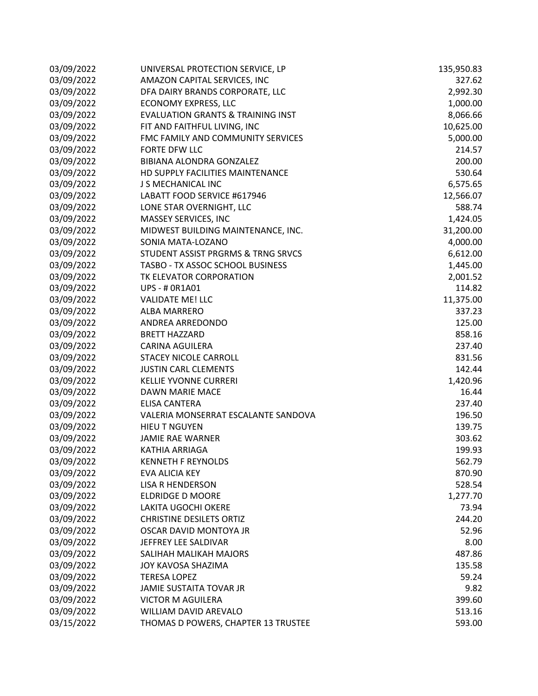| 03/09/2022 | UNIVERSAL PROTECTION SERVICE, LP             | 135,950.83 |
|------------|----------------------------------------------|------------|
| 03/09/2022 | AMAZON CAPITAL SERVICES, INC                 | 327.62     |
| 03/09/2022 | DFA DAIRY BRANDS CORPORATE, LLC              | 2,992.30   |
| 03/09/2022 | <b>ECONOMY EXPRESS, LLC</b>                  | 1,000.00   |
| 03/09/2022 | <b>EVALUATION GRANTS &amp; TRAINING INST</b> | 8,066.66   |
| 03/09/2022 | FIT AND FAITHFUL LIVING, INC                 | 10,625.00  |
| 03/09/2022 | FMC FAMILY AND COMMUNITY SERVICES            | 5,000.00   |
| 03/09/2022 | FORTE DFW LLC                                | 214.57     |
| 03/09/2022 | BIBIANA ALONDRA GONZALEZ                     | 200.00     |
| 03/09/2022 | HD SUPPLY FACILITIES MAINTENANCE             | 530.64     |
| 03/09/2022 | J S MECHANICAL INC                           | 6,575.65   |
| 03/09/2022 | LABATT FOOD SERVICE #617946                  | 12,566.07  |
| 03/09/2022 | LONE STAR OVERNIGHT, LLC                     | 588.74     |
| 03/09/2022 | MASSEY SERVICES, INC                         | 1,424.05   |
| 03/09/2022 | MIDWEST BUILDING MAINTENANCE, INC.           | 31,200.00  |
| 03/09/2022 | SONIA MATA-LOZANO                            | 4,000.00   |
| 03/09/2022 | STUDENT ASSIST PRGRMS & TRNG SRVCS           | 6,612.00   |
| 03/09/2022 | TASBO - TX ASSOC SCHOOL BUSINESS             | 1,445.00   |
| 03/09/2022 | TK ELEVATOR CORPORATION                      | 2,001.52   |
| 03/09/2022 | <b>UPS - # 0R1A01</b>                        | 114.82     |
| 03/09/2022 | <b>VALIDATE ME! LLC</b>                      | 11,375.00  |
| 03/09/2022 | <b>ALBA MARRERO</b>                          | 337.23     |
| 03/09/2022 | ANDREA ARREDONDO                             | 125.00     |
| 03/09/2022 | <b>BRETT HAZZARD</b>                         | 858.16     |
| 03/09/2022 | <b>CARINA AGUILERA</b>                       | 237.40     |
| 03/09/2022 | STACEY NICOLE CARROLL                        | 831.56     |
| 03/09/2022 | <b>JUSTIN CARL CLEMENTS</b>                  | 142.44     |
| 03/09/2022 | <b>KELLIE YVONNE CURRERI</b>                 | 1,420.96   |
| 03/09/2022 | DAWN MARIE MACE                              | 16.44      |
| 03/09/2022 | <b>ELISA CANTERA</b>                         | 237.40     |
| 03/09/2022 | VALERIA MONSERRAT ESCALANTE SANDOVA          | 196.50     |
| 03/09/2022 | <b>HIEU T NGUYEN</b>                         | 139.75     |
| 03/09/2022 | <b>JAMIE RAE WARNER</b>                      | 303.62     |
| 03/09/2022 | <b>KATHIA ARRIAGA</b>                        | 199.93     |
| 03/09/2022 | <b>KENNETH F REYNOLDS</b>                    | 562.79     |
| 03/09/2022 | EVA ALICIA KEY                               | 870.90     |
| 03/09/2022 | <b>LISA R HENDERSON</b>                      | 528.54     |
| 03/09/2022 | <b>ELDRIDGE D MOORE</b>                      | 1,277.70   |
| 03/09/2022 | <b>LAKITA UGOCHI OKERE</b>                   | 73.94      |
| 03/09/2022 | <b>CHRISTINE DESILETS ORTIZ</b>              | 244.20     |
| 03/09/2022 | OSCAR DAVID MONTOYA JR                       | 52.96      |
| 03/09/2022 | JEFFREY LEE SALDIVAR                         | 8.00       |
| 03/09/2022 | SALIHAH MALIKAH MAJORS                       | 487.86     |
| 03/09/2022 | JOY KAVOSA SHAZIMA                           | 135.58     |
| 03/09/2022 | <b>TERESA LOPEZ</b>                          | 59.24      |
| 03/09/2022 | JAMIE SUSTAITA TOVAR JR                      | 9.82       |
| 03/09/2022 | <b>VICTOR M AGUILERA</b>                     | 399.60     |
| 03/09/2022 | WILLIAM DAVID AREVALO                        | 513.16     |
| 03/15/2022 | THOMAS D POWERS, CHAPTER 13 TRUSTEE          | 593.00     |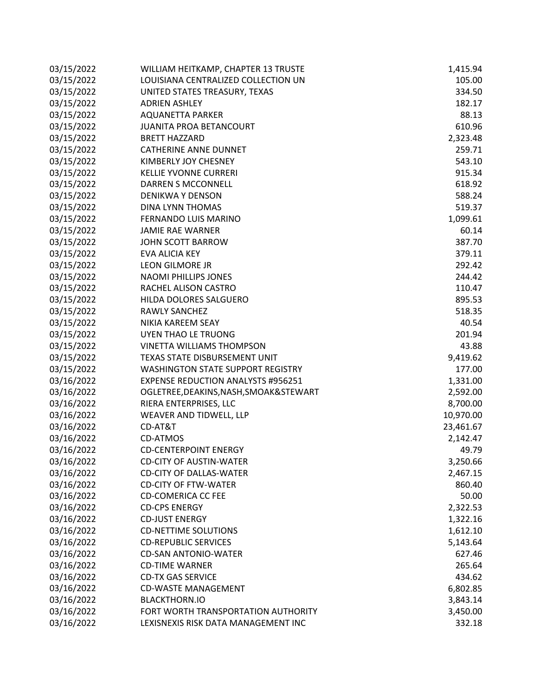| 03/15/2022 | WILLIAM HEITKAMP, CHAPTER 13 TRUSTE       | 1,415.94  |
|------------|-------------------------------------------|-----------|
| 03/15/2022 | LOUISIANA CENTRALIZED COLLECTION UN       | 105.00    |
| 03/15/2022 | UNITED STATES TREASURY, TEXAS             | 334.50    |
| 03/15/2022 | <b>ADRIEN ASHLEY</b>                      | 182.17    |
| 03/15/2022 | <b>AQUANETTA PARKER</b>                   | 88.13     |
| 03/15/2022 | <b>JUANITA PROA BETANCOURT</b>            | 610.96    |
| 03/15/2022 | <b>BRETT HAZZARD</b>                      | 2,323.48  |
| 03/15/2022 | <b>CATHERINE ANNE DUNNET</b>              | 259.71    |
| 03/15/2022 | KIMBERLY JOY CHESNEY                      | 543.10    |
| 03/15/2022 | <b>KELLIE YVONNE CURRERI</b>              | 915.34    |
| 03/15/2022 | DARREN S MCCONNELL                        | 618.92    |
| 03/15/2022 | <b>DENIKWA Y DENSON</b>                   | 588.24    |
| 03/15/2022 | DINA LYNN THOMAS                          | 519.37    |
| 03/15/2022 | FERNANDO LUIS MARINO                      | 1,099.61  |
| 03/15/2022 | <b>JAMIE RAE WARNER</b>                   | 60.14     |
| 03/15/2022 | JOHN SCOTT BARROW                         | 387.70    |
| 03/15/2022 | EVA ALICIA KEY                            | 379.11    |
| 03/15/2022 | <b>LEON GILMORE JR</b>                    | 292.42    |
| 03/15/2022 | <b>NAOMI PHILLIPS JONES</b>               | 244.42    |
| 03/15/2022 | RACHEL ALISON CASTRO                      | 110.47    |
| 03/15/2022 | HILDA DOLORES SALGUERO                    | 895.53    |
| 03/15/2022 | <b>RAWLY SANCHEZ</b>                      | 518.35    |
| 03/15/2022 | NIKIA KAREEM SEAY                         | 40.54     |
| 03/15/2022 | UYEN THAO LE TRUONG                       | 201.94    |
| 03/15/2022 | <b>VINETTA WILLIAMS THOMPSON</b>          | 43.88     |
| 03/15/2022 | TEXAS STATE DISBURSEMENT UNIT             | 9,419.62  |
| 03/15/2022 | <b>WASHINGTON STATE SUPPORT REGISTRY</b>  | 177.00    |
| 03/16/2022 | <b>EXPENSE REDUCTION ANALYSTS #956251</b> | 1,331.00  |
| 03/16/2022 | OGLETREE, DEAKINS, NASH, SMOAK& STEWART   | 2,592.00  |
| 03/16/2022 | RIERA ENTERPRISES, LLC                    | 8,700.00  |
| 03/16/2022 | WEAVER AND TIDWELL, LLP                   | 10,970.00 |
| 03/16/2022 | CD-AT&T                                   | 23,461.67 |
| 03/16/2022 | <b>CD-ATMOS</b>                           | 2,142.47  |
| 03/16/2022 | <b>CD-CENTERPOINT ENERGY</b>              | 49.79     |
| 03/16/2022 | <b>CD-CITY OF AUSTIN-WATER</b>            | 3,250.66  |
| 03/16/2022 | <b>CD-CITY OF DALLAS-WATER</b>            | 2,467.15  |
| 03/16/2022 | <b>CD-CITY OF FTW-WATER</b>               | 860.40    |
| 03/16/2022 | <b>CD-COMERICA CC FEE</b>                 | 50.00     |
| 03/16/2022 | <b>CD-CPS ENERGY</b>                      | 2,322.53  |
| 03/16/2022 | <b>CD-JUST ENERGY</b>                     | 1,322.16  |
| 03/16/2022 | <b>CD-NETTIME SOLUTIONS</b>               | 1,612.10  |
| 03/16/2022 | <b>CD-REPUBLIC SERVICES</b>               | 5,143.64  |
| 03/16/2022 | <b>CD-SAN ANTONIO-WATER</b>               | 627.46    |
| 03/16/2022 | <b>CD-TIME WARNER</b>                     | 265.64    |
| 03/16/2022 | <b>CD-TX GAS SERVICE</b>                  | 434.62    |
| 03/16/2022 | <b>CD-WASTE MANAGEMENT</b>                | 6,802.85  |
| 03/16/2022 | <b>BLACKTHORN.IO</b>                      | 3,843.14  |
| 03/16/2022 | FORT WORTH TRANSPORTATION AUTHORITY       | 3,450.00  |
| 03/16/2022 | LEXISNEXIS RISK DATA MANAGEMENT INC       | 332.18    |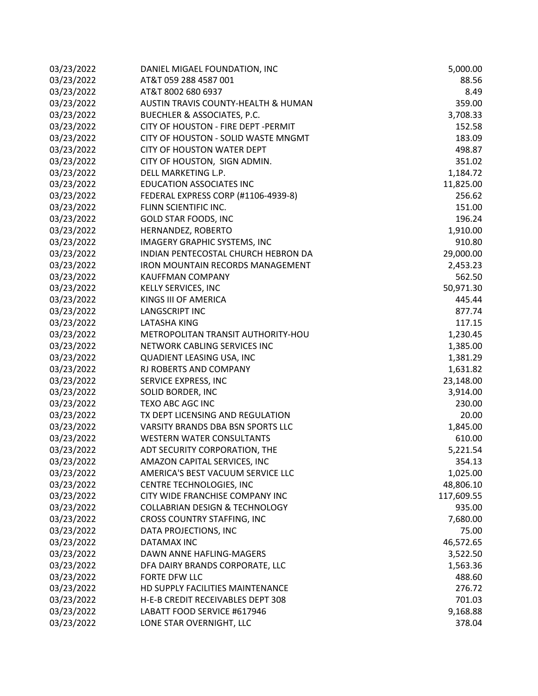| 03/23/2022 | DANIEL MIGAEL FOUNDATION, INC             | 5,000.00   |
|------------|-------------------------------------------|------------|
| 03/23/2022 | AT&T 059 288 4587 001                     | 88.56      |
| 03/23/2022 | AT&T 8002 680 6937                        | 8.49       |
| 03/23/2022 | AUSTIN TRAVIS COUNTY-HEALTH & HUMAN       | 359.00     |
| 03/23/2022 | <b>BUECHLER &amp; ASSOCIATES, P.C.</b>    | 3,708.33   |
| 03/23/2022 | CITY OF HOUSTON - FIRE DEPT - PERMIT      | 152.58     |
| 03/23/2022 | CITY OF HOUSTON - SOLID WASTE MNGMT       | 183.09     |
| 03/23/2022 | <b>CITY OF HOUSTON WATER DEPT</b>         | 498.87     |
| 03/23/2022 | CITY OF HOUSTON, SIGN ADMIN.              | 351.02     |
| 03/23/2022 | DELL MARKETING L.P.                       | 1,184.72   |
| 03/23/2022 | <b>EDUCATION ASSOCIATES INC</b>           | 11,825.00  |
| 03/23/2022 | FEDERAL EXPRESS CORP (#1106-4939-8)       | 256.62     |
| 03/23/2022 | FLINN SCIENTIFIC INC.                     | 151.00     |
| 03/23/2022 | GOLD STAR FOODS, INC                      | 196.24     |
| 03/23/2022 | HERNANDEZ, ROBERTO                        | 1,910.00   |
| 03/23/2022 | IMAGERY GRAPHIC SYSTEMS, INC              | 910.80     |
| 03/23/2022 | INDIAN PENTECOSTAL CHURCH HEBRON DA       | 29,000.00  |
| 03/23/2022 | <b>IRON MOUNTAIN RECORDS MANAGEMENT</b>   | 2,453.23   |
| 03/23/2022 | <b>KAUFFMAN COMPANY</b>                   | 562.50     |
| 03/23/2022 | KELLY SERVICES, INC                       | 50,971.30  |
| 03/23/2022 | KINGS III OF AMERICA                      | 445.44     |
| 03/23/2022 | <b>LANGSCRIPT INC</b>                     | 877.74     |
| 03/23/2022 | LATASHA KING                              | 117.15     |
| 03/23/2022 | METROPOLITAN TRANSIT AUTHORITY-HOU        | 1,230.45   |
| 03/23/2022 | NETWORK CABLING SERVICES INC              | 1,385.00   |
| 03/23/2022 | QUADIENT LEASING USA, INC                 | 1,381.29   |
| 03/23/2022 | RJ ROBERTS AND COMPANY                    | 1,631.82   |
| 03/23/2022 | SERVICE EXPRESS, INC                      | 23,148.00  |
| 03/23/2022 | SOLID BORDER, INC                         | 3,914.00   |
| 03/23/2022 | TEXO ABC AGC INC                          | 230.00     |
| 03/23/2022 | TX DEPT LICENSING AND REGULATION          | 20.00      |
| 03/23/2022 | VARSITY BRANDS DBA BSN SPORTS LLC         | 1,845.00   |
| 03/23/2022 | <b>WESTERN WATER CONSULTANTS</b>          | 610.00     |
| 03/23/2022 | ADT SECURITY CORPORATION, THE             | 5,221.54   |
| 03/23/2022 | AMAZON CAPITAL SERVICES, INC              | 354.13     |
| 03/23/2022 | AMERICA'S BEST VACUUM SERVICE LLC         | 1,025.00   |
| 03/23/2022 | CENTRE TECHNOLOGIES, INC                  | 48,806.10  |
| 03/23/2022 | CITY WIDE FRANCHISE COMPANY INC           | 117,609.55 |
| 03/23/2022 | <b>COLLABRIAN DESIGN &amp; TECHNOLOGY</b> | 935.00     |
| 03/23/2022 | CROSS COUNTRY STAFFING, INC               | 7,680.00   |
| 03/23/2022 | DATA PROJECTIONS, INC                     | 75.00      |
| 03/23/2022 | DATAMAX INC                               | 46,572.65  |
| 03/23/2022 | DAWN ANNE HAFLING-MAGERS                  | 3,522.50   |
| 03/23/2022 | DFA DAIRY BRANDS CORPORATE, LLC           | 1,563.36   |
| 03/23/2022 | FORTE DFW LLC                             | 488.60     |
| 03/23/2022 | HD SUPPLY FACILITIES MAINTENANCE          | 276.72     |
| 03/23/2022 | H-E-B CREDIT RECEIVABLES DEPT 308         | 701.03     |
| 03/23/2022 | LABATT FOOD SERVICE #617946               | 9,168.88   |
| 03/23/2022 | LONE STAR OVERNIGHT, LLC                  | 378.04     |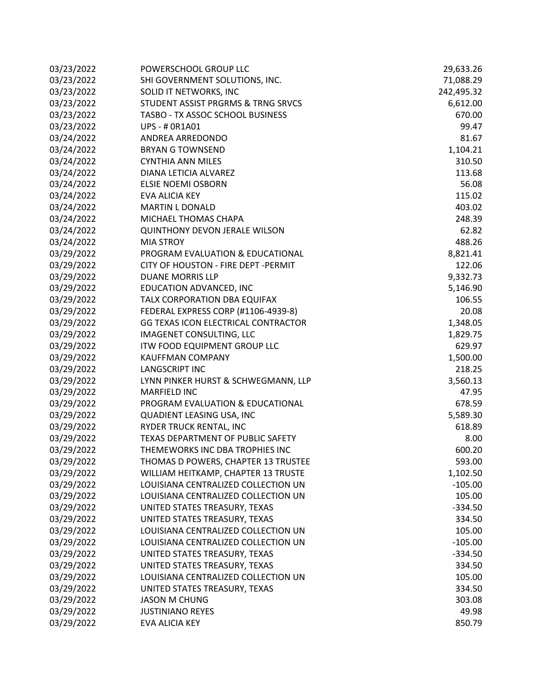| 03/23/2022 | POWERSCHOOL GROUP LLC                | 29,633.26  |
|------------|--------------------------------------|------------|
| 03/23/2022 | SHI GOVERNMENT SOLUTIONS, INC.       | 71,088.29  |
| 03/23/2022 | SOLID IT NETWORKS, INC               | 242,495.32 |
| 03/23/2022 | STUDENT ASSIST PRGRMS & TRNG SRVCS   | 6,612.00   |
| 03/23/2022 | TASBO - TX ASSOC SCHOOL BUSINESS     | 670.00     |
| 03/23/2022 | UPS - # 0R1A01                       | 99.47      |
| 03/24/2022 | ANDREA ARREDONDO                     | 81.67      |
| 03/24/2022 | <b>BRYAN G TOWNSEND</b>              | 1,104.21   |
| 03/24/2022 | <b>CYNTHIA ANN MILES</b>             | 310.50     |
| 03/24/2022 | DIANA LETICIA ALVAREZ                | 113.68     |
| 03/24/2022 | <b>ELSIE NOEMI OSBORN</b>            | 56.08      |
| 03/24/2022 | EVA ALICIA KEY                       | 115.02     |
| 03/24/2022 | <b>MARTIN L DONALD</b>               | 403.02     |
| 03/24/2022 | MICHAEL THOMAS CHAPA                 | 248.39     |
| 03/24/2022 | <b>QUINTHONY DEVON JERALE WILSON</b> | 62.82      |
| 03/24/2022 | <b>MIA STROY</b>                     | 488.26     |
| 03/29/2022 | PROGRAM EVALUATION & EDUCATIONAL     | 8,821.41   |
| 03/29/2022 | CITY OF HOUSTON - FIRE DEPT - PERMIT | 122.06     |
| 03/29/2022 | <b>DUANE MORRIS LLP</b>              | 9,332.73   |
| 03/29/2022 | EDUCATION ADVANCED, INC              | 5,146.90   |
| 03/29/2022 | TALX CORPORATION DBA EQUIFAX         | 106.55     |
| 03/29/2022 | FEDERAL EXPRESS CORP (#1106-4939-8)  | 20.08      |
| 03/29/2022 | GG TEXAS ICON ELECTRICAL CONTRACTOR  | 1,348.05   |
| 03/29/2022 | IMAGENET CONSULTING, LLC             | 1,829.75   |
| 03/29/2022 | ITW FOOD EQUIPMENT GROUP LLC         | 629.97     |
| 03/29/2022 | <b>KAUFFMAN COMPANY</b>              | 1,500.00   |
| 03/29/2022 | <b>LANGSCRIPT INC</b>                | 218.25     |
| 03/29/2022 | LYNN PINKER HURST & SCHWEGMANN, LLP  | 3,560.13   |
| 03/29/2022 | <b>MARFIELD INC</b>                  | 47.95      |
| 03/29/2022 | PROGRAM EVALUATION & EDUCATIONAL     | 678.59     |
| 03/29/2022 | <b>QUADIENT LEASING USA, INC</b>     | 5,589.30   |
| 03/29/2022 | RYDER TRUCK RENTAL, INC              | 618.89     |
| 03/29/2022 | TEXAS DEPARTMENT OF PUBLIC SAFETY    | 8.00       |
| 03/29/2022 | THEMEWORKS INC DBA TROPHIES INC      | 600.20     |
| 03/29/2022 | THOMAS D POWERS, CHAPTER 13 TRUSTEE  | 593.00     |
| 03/29/2022 | WILLIAM HEITKAMP, CHAPTER 13 TRUSTE  | 1,102.50   |
| 03/29/2022 | LOUISIANA CENTRALIZED COLLECTION UN  | $-105.00$  |
| 03/29/2022 | LOUISIANA CENTRALIZED COLLECTION UN  | 105.00     |
| 03/29/2022 | UNITED STATES TREASURY, TEXAS        | $-334.50$  |
| 03/29/2022 | UNITED STATES TREASURY, TEXAS        | 334.50     |
| 03/29/2022 | LOUISIANA CENTRALIZED COLLECTION UN  | 105.00     |
| 03/29/2022 | LOUISIANA CENTRALIZED COLLECTION UN  | $-105.00$  |
| 03/29/2022 | UNITED STATES TREASURY, TEXAS        | $-334.50$  |
| 03/29/2022 | UNITED STATES TREASURY, TEXAS        | 334.50     |
| 03/29/2022 | LOUISIANA CENTRALIZED COLLECTION UN  | 105.00     |
| 03/29/2022 | UNITED STATES TREASURY, TEXAS        | 334.50     |
| 03/29/2022 | <b>JASON M CHUNG</b>                 | 303.08     |
| 03/29/2022 | <b>JUSTINIANO REYES</b>              | 49.98      |
| 03/29/2022 | EVA ALICIA KEY                       | 850.79     |